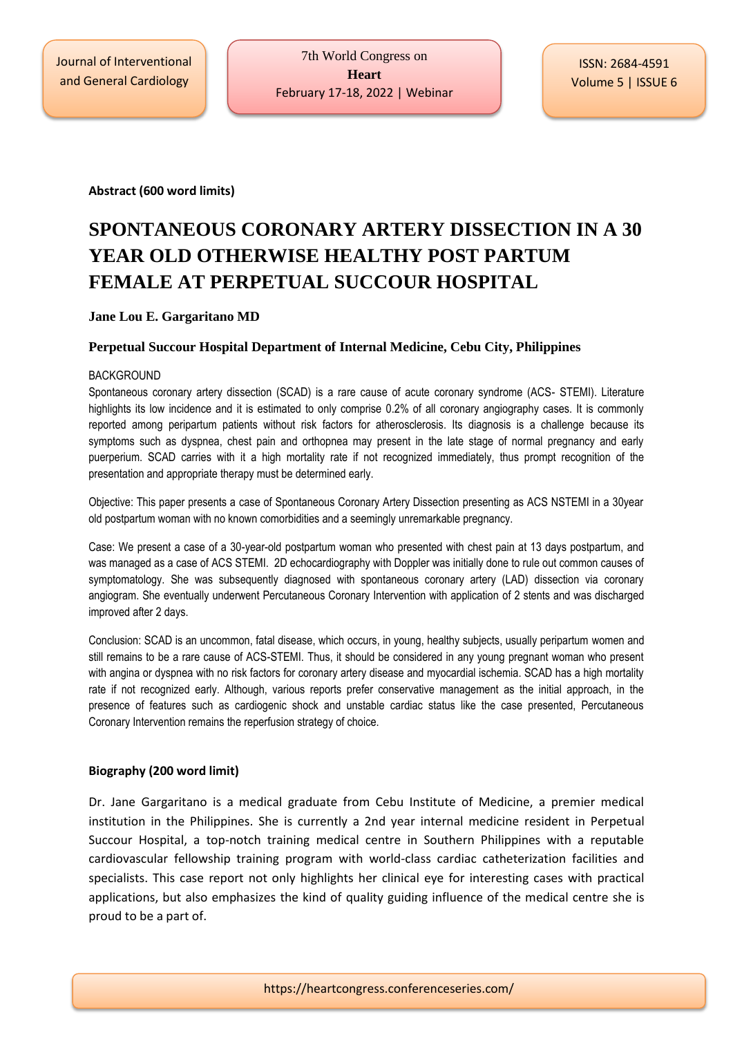Journal of Interventional and General Cardiology

**Abstract (600 word limits)**

# **SPONTANEOUS CORONARY ARTERY DISSECTION IN A 30 YEAR OLD OTHERWISE HEALTHY POST PARTUM FEMALE AT PERPETUAL SUCCOUR HOSPITAL**

### **Jane Lou E. Gargaritano MD**

## **Perpetual Succour Hospital Department of Internal Medicine, Cebu City, Philippines**

#### BACKGROUND

Spontaneous coronary artery dissection (SCAD) is a rare cause of acute coronary syndrome (ACS- STEMI). Literature highlights its low incidence and it is estimated to only comprise 0.2% of all coronary angiography cases. It is commonly reported among peripartum patients without risk factors for atherosclerosis. Its diagnosis is a challenge because its symptoms such as dyspnea, chest pain and orthopnea may present in the late stage of normal pregnancy and early puerperium. SCAD carries with it a high mortality rate if not recognized immediately, thus prompt recognition of the presentation and appropriate therapy must be determined early.

Objective: This paper presents a case of Spontaneous Coronary Artery Dissection presenting as ACS NSTEMI in a 30year old postpartum woman with no known comorbidities and a seemingly unremarkable pregnancy.

Case: We present a case of a 30-year-old postpartum woman who presented with chest pain at 13 days postpartum, and was managed as a case of ACS STEMI. 2D echocardiography with Doppler was initially done to rule out common causes of symptomatology. She was subsequently diagnosed with spontaneous coronary artery (LAD) dissection via coronary angiogram. She eventually underwent Percutaneous Coronary Intervention with application of 2 stents and was discharged improved after 2 days.

Conclusion: SCAD is an uncommon, fatal disease, which occurs, in young, healthy subjects, usually peripartum women and still remains to be a rare cause of ACS-STEMI. Thus, it should be considered in any young pregnant woman who present with angina or dyspnea with no risk factors for coronary artery disease and myocardial ischemia. SCAD has a high mortality rate if not recognized early. Although, various reports prefer conservative management as the initial approach, in the presence of features such as cardiogenic shock and unstable cardiac status like the case presented, Percutaneous Coronary Intervention remains the reperfusion strategy of choice.

#### **Biography (200 word limit)**

Dr. Jane Gargaritano is a medical graduate from Cebu Institute of Medicine, a premier medical institution in the Philippines. She is currently a 2nd year internal medicine resident in Perpetual Succour Hospital, a top-notch training medical centre in Southern Philippines with a reputable cardiovascular fellowship training program with world-class cardiac catheterization facilities and specialists. This case report not only highlights her clinical eye for interesting cases with practical applications, but also emphasizes the kind of quality guiding influence of the medical centre she is proud to be a part of.